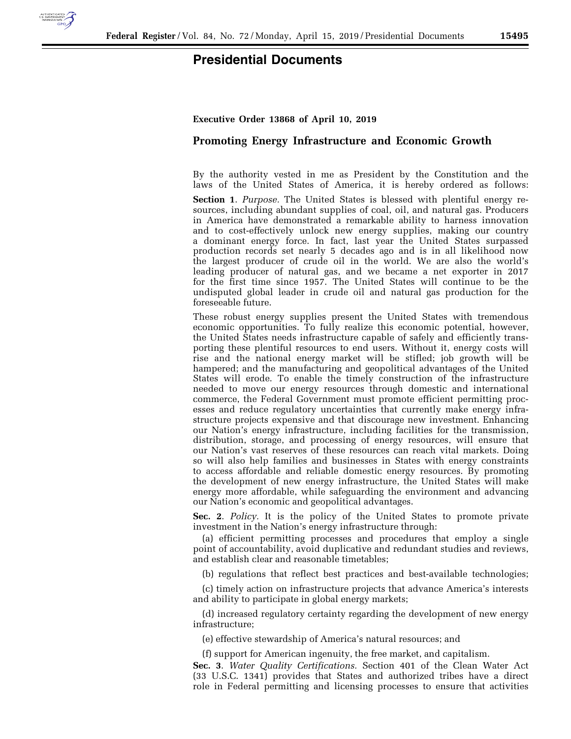

## **Presidential Documents**

## **Executive Order 13868 of April 10, 2019**

## **Promoting Energy Infrastructure and Economic Growth**

By the authority vested in me as President by the Constitution and the laws of the United States of America, it is hereby ordered as follows:

**Section 1**. *Purpose.* The United States is blessed with plentiful energy resources, including abundant supplies of coal, oil, and natural gas. Producers in America have demonstrated a remarkable ability to harness innovation and to cost-effectively unlock new energy supplies, making our country a dominant energy force. In fact, last year the United States surpassed production records set nearly 5 decades ago and is in all likelihood now the largest producer of crude oil in the world. We are also the world's leading producer of natural gas, and we became a net exporter in 2017 for the first time since 1957. The United States will continue to be the undisputed global leader in crude oil and natural gas production for the foreseeable future.

These robust energy supplies present the United States with tremendous economic opportunities. To fully realize this economic potential, however, the United States needs infrastructure capable of safely and efficiently transporting these plentiful resources to end users. Without it, energy costs will rise and the national energy market will be stifled; job growth will be hampered; and the manufacturing and geopolitical advantages of the United States will erode. To enable the timely construction of the infrastructure needed to move our energy resources through domestic and international commerce, the Federal Government must promote efficient permitting processes and reduce regulatory uncertainties that currently make energy infrastructure projects expensive and that discourage new investment. Enhancing our Nation's energy infrastructure, including facilities for the transmission, distribution, storage, and processing of energy resources, will ensure that our Nation's vast reserves of these resources can reach vital markets. Doing so will also help families and businesses in States with energy constraints to access affordable and reliable domestic energy resources. By promoting the development of new energy infrastructure, the United States will make energy more affordable, while safeguarding the environment and advancing our Nation's economic and geopolitical advantages.

**Sec. 2**. *Policy.* It is the policy of the United States to promote private investment in the Nation's energy infrastructure through:

(a) efficient permitting processes and procedures that employ a single point of accountability, avoid duplicative and redundant studies and reviews, and establish clear and reasonable timetables;

(b) regulations that reflect best practices and best-available technologies;

(c) timely action on infrastructure projects that advance America's interests and ability to participate in global energy markets;

(d) increased regulatory certainty regarding the development of new energy infrastructure;

(e) effective stewardship of America's natural resources; and

(f) support for American ingenuity, the free market, and capitalism.

**Sec. 3**. *Water Quality Certifications.* Section 401 of the Clean Water Act (33 U.S.C. 1341) provides that States and authorized tribes have a direct role in Federal permitting and licensing processes to ensure that activities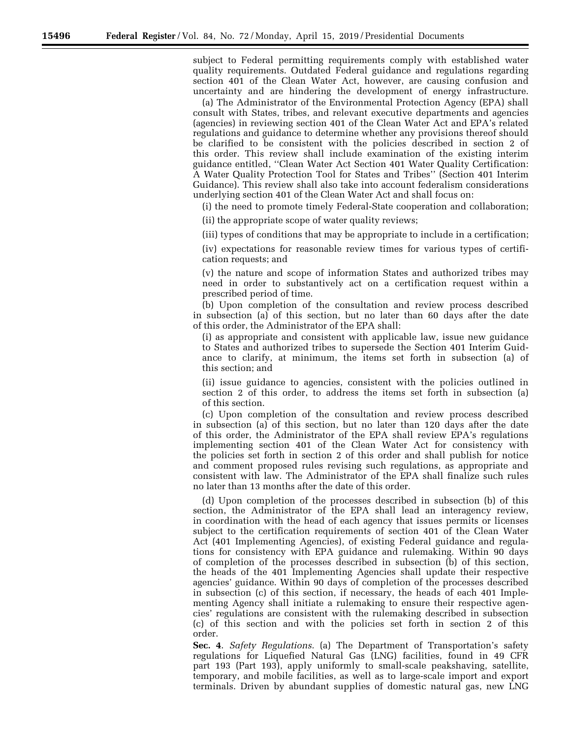subject to Federal permitting requirements comply with established water quality requirements. Outdated Federal guidance and regulations regarding section 401 of the Clean Water Act, however, are causing confusion and uncertainty and are hindering the development of energy infrastructure.

(a) The Administrator of the Environmental Protection Agency (EPA) shall consult with States, tribes, and relevant executive departments and agencies (agencies) in reviewing section 401 of the Clean Water Act and EPA's related regulations and guidance to determine whether any provisions thereof should be clarified to be consistent with the policies described in section 2 of this order. This review shall include examination of the existing interim guidance entitled, ''Clean Water Act Section 401 Water Quality Certification: A Water Quality Protection Tool for States and Tribes'' (Section 401 Interim Guidance). This review shall also take into account federalism considerations underlying section 401 of the Clean Water Act and shall focus on:

(i) the need to promote timely Federal-State cooperation and collaboration;

(ii) the appropriate scope of water quality reviews;

(iii) types of conditions that may be appropriate to include in a certification;

(iv) expectations for reasonable review times for various types of certification requests; and

(v) the nature and scope of information States and authorized tribes may need in order to substantively act on a certification request within a prescribed period of time.

(b) Upon completion of the consultation and review process described in subsection (a) of this section, but no later than 60 days after the date of this order, the Administrator of the EPA shall:

(i) as appropriate and consistent with applicable law, issue new guidance to States and authorized tribes to supersede the Section 401 Interim Guidance to clarify, at minimum, the items set forth in subsection (a) of this section; and

(ii) issue guidance to agencies, consistent with the policies outlined in section 2 of this order, to address the items set forth in subsection (a) of this section.

(c) Upon completion of the consultation and review process described in subsection (a) of this section, but no later than 120 days after the date of this order, the Administrator of the EPA shall review EPA's regulations implementing section 401 of the Clean Water Act for consistency with the policies set forth in section 2 of this order and shall publish for notice and comment proposed rules revising such regulations, as appropriate and consistent with law. The Administrator of the EPA shall finalize such rules no later than 13 months after the date of this order.

(d) Upon completion of the processes described in subsection (b) of this section, the Administrator of the EPA shall lead an interagency review, in coordination with the head of each agency that issues permits or licenses subject to the certification requirements of section 401 of the Clean Water Act (401 Implementing Agencies), of existing Federal guidance and regulations for consistency with EPA guidance and rulemaking. Within 90 days of completion of the processes described in subsection (b) of this section, the heads of the 401 Implementing Agencies shall update their respective agencies' guidance. Within 90 days of completion of the processes described in subsection (c) of this section, if necessary, the heads of each 401 Implementing Agency shall initiate a rulemaking to ensure their respective agencies' regulations are consistent with the rulemaking described in subsection (c) of this section and with the policies set forth in section 2 of this order.

**Sec. 4**. *Safety Regulations.* (a) The Department of Transportation's safety regulations for Liquefied Natural Gas (LNG) facilities, found in 49 CFR part 193 (Part 193), apply uniformly to small-scale peakshaving, satellite, temporary, and mobile facilities, as well as to large-scale import and export terminals. Driven by abundant supplies of domestic natural gas, new LNG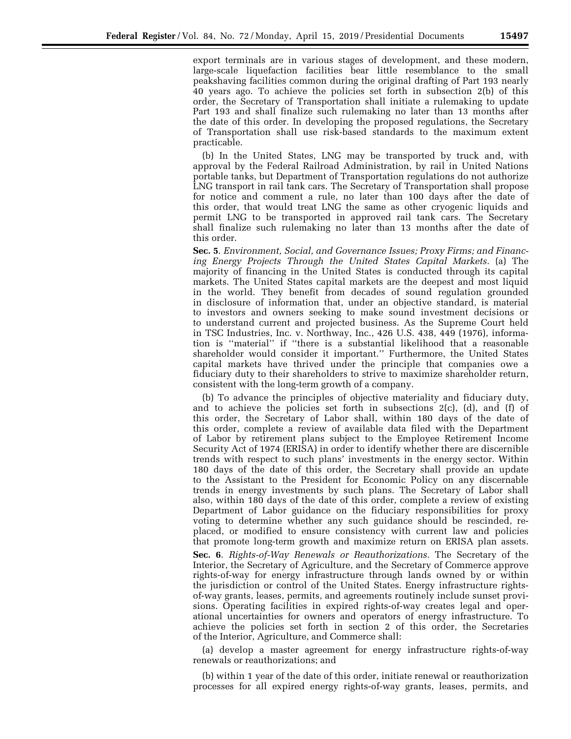export terminals are in various stages of development, and these modern, large-scale liquefaction facilities bear little resemblance to the small peakshaving facilities common during the original drafting of Part 193 nearly 40 years ago. To achieve the policies set forth in subsection 2(b) of this order, the Secretary of Transportation shall initiate a rulemaking to update Part 193 and shall finalize such rulemaking no later than 13 months after the date of this order. In developing the proposed regulations, the Secretary of Transportation shall use risk-based standards to the maximum extent practicable.

(b) In the United States, LNG may be transported by truck and, with approval by the Federal Railroad Administration, by rail in United Nations portable tanks, but Department of Transportation regulations do not authorize LNG transport in rail tank cars. The Secretary of Transportation shall propose for notice and comment a rule, no later than 100 days after the date of this order, that would treat LNG the same as other cryogenic liquids and permit LNG to be transported in approved rail tank cars. The Secretary shall finalize such rulemaking no later than 13 months after the date of this order.

**Sec. 5**. *Environment, Social, and Governance Issues; Proxy Firms; and Financing Energy Projects Through the United States Capital Markets.* (a) The majority of financing in the United States is conducted through its capital markets. The United States capital markets are the deepest and most liquid in the world. They benefit from decades of sound regulation grounded in disclosure of information that, under an objective standard, is material to investors and owners seeking to make sound investment decisions or to understand current and projected business. As the Supreme Court held in TSC Industries, Inc. v. Northway, Inc., 426 U.S. 438, 449 (1976), information is ''material'' if ''there is a substantial likelihood that a reasonable shareholder would consider it important.'' Furthermore, the United States capital markets have thrived under the principle that companies owe a fiduciary duty to their shareholders to strive to maximize shareholder return, consistent with the long-term growth of a company.

(b) To advance the principles of objective materiality and fiduciary duty, and to achieve the policies set forth in subsections  $2(c)$ , (d), and (f) of this order, the Secretary of Labor shall, within 180 days of the date of this order, complete a review of available data filed with the Department of Labor by retirement plans subject to the Employee Retirement Income Security Act of 1974 (ERISA) in order to identify whether there are discernible trends with respect to such plans' investments in the energy sector. Within 180 days of the date of this order, the Secretary shall provide an update to the Assistant to the President for Economic Policy on any discernable trends in energy investments by such plans. The Secretary of Labor shall also, within 180 days of the date of this order, complete a review of existing Department of Labor guidance on the fiduciary responsibilities for proxy voting to determine whether any such guidance should be rescinded, replaced, or modified to ensure consistency with current law and policies that promote long-term growth and maximize return on ERISA plan assets.

**Sec. 6**. *Rights-of-Way Renewals or Reauthorizations.* The Secretary of the Interior, the Secretary of Agriculture, and the Secretary of Commerce approve rights-of-way for energy infrastructure through lands owned by or within the jurisdiction or control of the United States. Energy infrastructure rightsof-way grants, leases, permits, and agreements routinely include sunset provisions. Operating facilities in expired rights-of-way creates legal and operational uncertainties for owners and operators of energy infrastructure. To achieve the policies set forth in section 2 of this order, the Secretaries of the Interior, Agriculture, and Commerce shall:

(a) develop a master agreement for energy infrastructure rights-of-way renewals or reauthorizations; and

(b) within 1 year of the date of this order, initiate renewal or reauthorization processes for all expired energy rights-of-way grants, leases, permits, and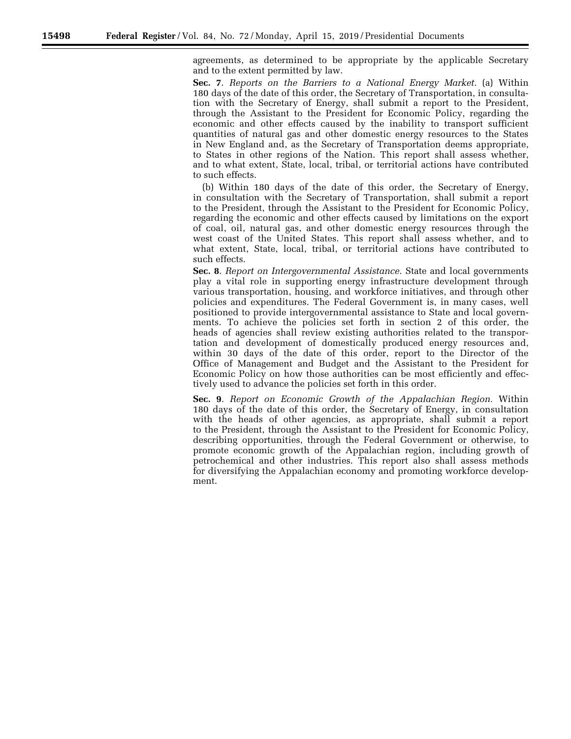agreements, as determined to be appropriate by the applicable Secretary and to the extent permitted by law.

**Sec. 7**. *Reports on the Barriers to a National Energy Market.* (a) Within 180 days of the date of this order, the Secretary of Transportation, in consultation with the Secretary of Energy, shall submit a report to the President, through the Assistant to the President for Economic Policy, regarding the economic and other effects caused by the inability to transport sufficient quantities of natural gas and other domestic energy resources to the States in New England and, as the Secretary of Transportation deems appropriate, to States in other regions of the Nation. This report shall assess whether, and to what extent, State, local, tribal, or territorial actions have contributed to such effects.

(b) Within 180 days of the date of this order, the Secretary of Energy, in consultation with the Secretary of Transportation, shall submit a report to the President, through the Assistant to the President for Economic Policy, regarding the economic and other effects caused by limitations on the export of coal, oil, natural gas, and other domestic energy resources through the west coast of the United States. This report shall assess whether, and to what extent, State, local, tribal, or territorial actions have contributed to such effects.

**Sec. 8**. *Report on Intergovernmental Assistance.* State and local governments play a vital role in supporting energy infrastructure development through various transportation, housing, and workforce initiatives, and through other policies and expenditures. The Federal Government is, in many cases, well positioned to provide intergovernmental assistance to State and local governments. To achieve the policies set forth in section 2 of this order, the heads of agencies shall review existing authorities related to the transportation and development of domestically produced energy resources and, within 30 days of the date of this order, report to the Director of the Office of Management and Budget and the Assistant to the President for Economic Policy on how those authorities can be most efficiently and effectively used to advance the policies set forth in this order.

**Sec. 9**. *Report on Economic Growth of the Appalachian Region.* Within 180 days of the date of this order, the Secretary of Energy, in consultation with the heads of other agencies, as appropriate, shall submit a report to the President, through the Assistant to the President for Economic Policy, describing opportunities, through the Federal Government or otherwise, to promote economic growth of the Appalachian region, including growth of petrochemical and other industries. This report also shall assess methods for diversifying the Appalachian economy and promoting workforce development.